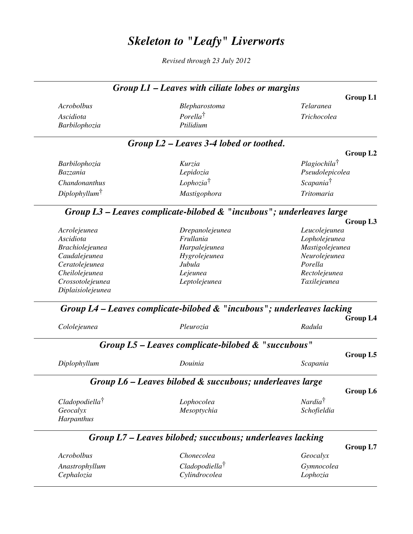## *Skeleton to "Leafy" Liverworts*

*Revised through 23 July 2012*

|                                                                              | Telaranea               | Blepharostoma                                                               | Acrobolbus                             |
|------------------------------------------------------------------------------|-------------------------|-----------------------------------------------------------------------------|----------------------------------------|
|                                                                              | Trichocolea             | $Porella^{\dagger}$                                                         | Ascidiota                              |
|                                                                              |                         | Ptilidium                                                                   | Barbilophozia                          |
|                                                                              |                         | $Group L2 - Leaves 3-4$ lobed or toothed.                                   |                                        |
| Group L2                                                                     |                         |                                                                             |                                        |
|                                                                              | $Plagiochila^{\dagger}$ | Kurzia                                                                      | Barbilophozia                          |
|                                                                              | Pseudolepicolea         | Lepidozia                                                                   | Bazzania                               |
|                                                                              | Scapania <sup>†</sup>   | Lophozia <sup>†</sup>                                                       | Chandonanthus                          |
|                                                                              | Tritomaria              | Mastigophora                                                                | Diplophyllum <sup>†</sup>              |
|                                                                              |                         | Group $L3$ – Leaves complicate-bilobed $\&$ "incubous"; underleaves large   |                                        |
| Group L3                                                                     | Leucolejeunea           | Drepanolejeunea                                                             | Acrolejeunea                           |
|                                                                              | Lopholejeunea           | Frullania                                                                   | Ascidiota                              |
| Mastigolejeunea<br>Neurolejeunea<br>Porella<br>Rectolejeunea<br>Taxilejeunea |                         | Harpalejeunea                                                               | <b>Brachiolejeunea</b>                 |
|                                                                              |                         | Hygrolejeunea                                                               | Caudalejeunea                          |
|                                                                              |                         | Jubula                                                                      | Ceratolejeunea                         |
|                                                                              |                         | Lejeunea                                                                    | Cheilolejeunea                         |
|                                                                              |                         | Leptolejeunea                                                               | Crossotolejeunea                       |
|                                                                              |                         |                                                                             | Diplaisiolejeunea                      |
|                                                                              |                         | Group $L4$ – Leaves complicate-bilobed $\&$ "incubous"; underleaves lacking |                                        |
|                                                                              |                         |                                                                             |                                        |
| <b>Group L4</b>                                                              | Radula                  | Pleurozia                                                                   | Cololejeunea                           |
|                                                                              |                         | Group $L5$ – Leaves complicate-bilobed $\&$ "succubous"                     |                                        |
| Group L5                                                                     | Scapania                | Douinia                                                                     | Diplophyllum                           |
|                                                                              |                         |                                                                             |                                        |
| Group L6                                                                     |                         | Group L6 - Leaves bilobed & succubous; underleaves large                    |                                        |
|                                                                              | Nardia <sup>†</sup>     |                                                                             |                                        |
|                                                                              | Schofieldia             | Lophocolea<br>Mesoptychia                                                   | Cladopodiella <sup>†</sup><br>Geocalyx |
|                                                                              |                         |                                                                             | Harpanthus                             |
|                                                                              |                         | Group L7 – Leaves bilobed; succubous; underleaves lacking                   |                                        |
| Group L7                                                                     |                         |                                                                             |                                        |
|                                                                              | Geocalyx<br>Gymnocolea  | Chonecolea<br>$C$ ladopodiella <sup>†</sup>                                 | Acrobolbus<br>Anastrophyllum           |